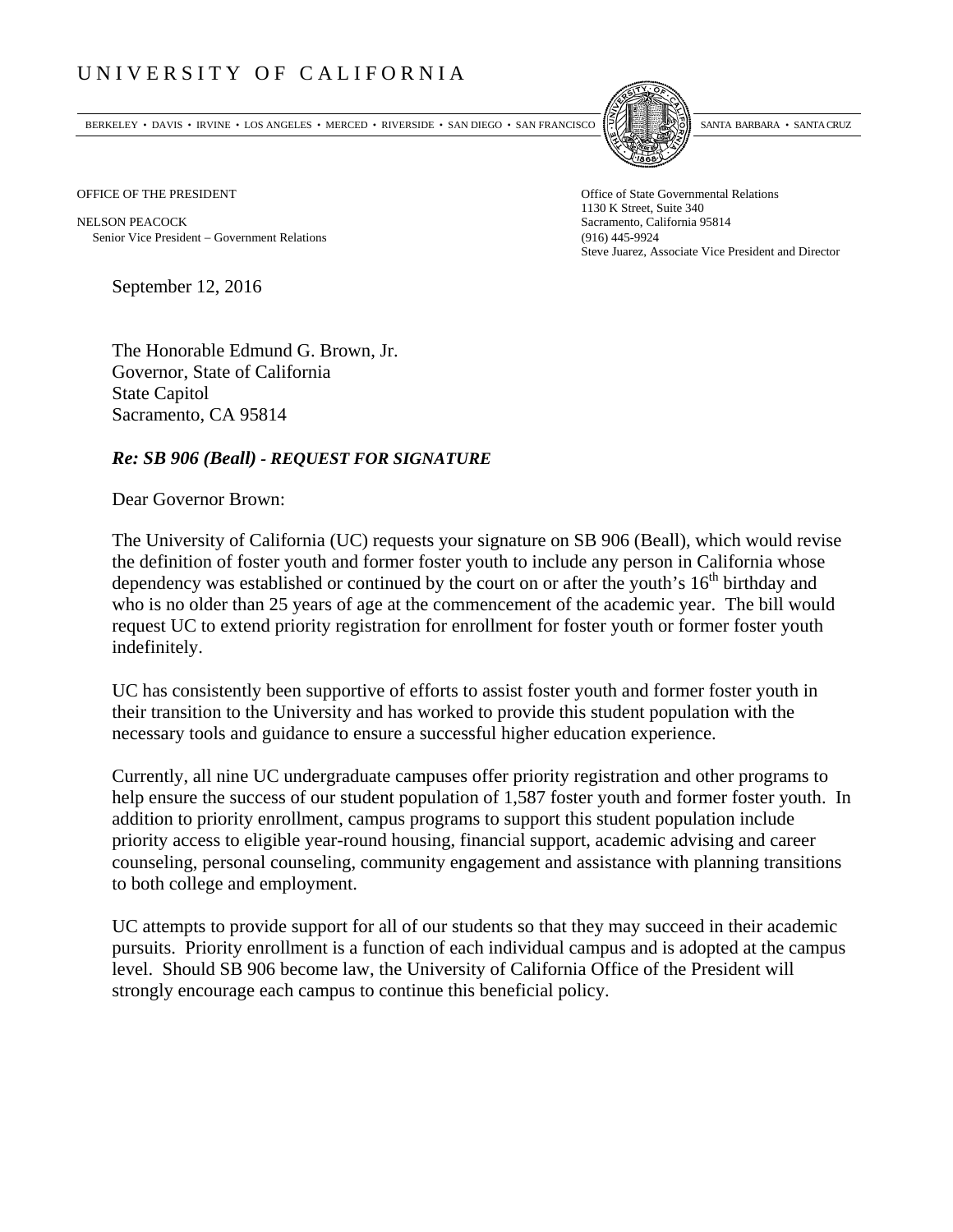## UNIVERSITY OF CALIFORNIA

BERKELEY • DAVIS • IRVINE • LOS ANGELES • MERCED • RIVERSIDE • SAN DIEGO • SAN FRANCISCO SANTA BARBARA • SANTA CRUZ



OFFICE OF THE PRESIDENT STATES OF THE PRESIDENT

NELSON PEACOCK Sacramento, California 95814 Senior Vice President Government Relations (916) 445-9924

1130 K Street, Suite 340 Steve Juarez, Associate Vice President and Director

September 12, 2016

The Honorable Edmund G. Brown, Jr. Governor, State of California State Capitol Sacramento, CA 95814

## *Re: SB 906 (Beall) - REQUEST FOR SIGNATURE*

Dear Governor Brown:

The University of California (UC) requests your signature on SB 906 (Beall), which would revise the definition of foster youth and former foster youth to include any person in California whose dependency was established or continued by the court on or after the youth's  $16<sup>th</sup>$  birthday and who is no older than 25 years of age at the commencement of the academic year. The bill would request UC to extend priority registration for enrollment for foster youth or former foster youth indefinitely.

UC has consistently been supportive of efforts to assist foster youth and former foster youth in their transition to the University and has worked to provide this student population with the necessary tools and guidance to ensure a successful higher education experience.

Currently, all nine UC undergraduate campuses offer priority registration and other programs to help ensure the success of our student population of 1,587 foster youth and former foster youth. In addition to priority enrollment, campus programs to support this student population include priority access to eligible year-round housing, financial support, academic advising and career counseling, personal counseling, community engagement and assistance with planning transitions to both college and employment.

UC attempts to provide support for all of our students so that they may succeed in their academic pursuits. Priority enrollment is a function of each individual campus and is adopted at the campus level. Should SB 906 become law, the University of California Office of the President will strongly encourage each campus to continue this beneficial policy.